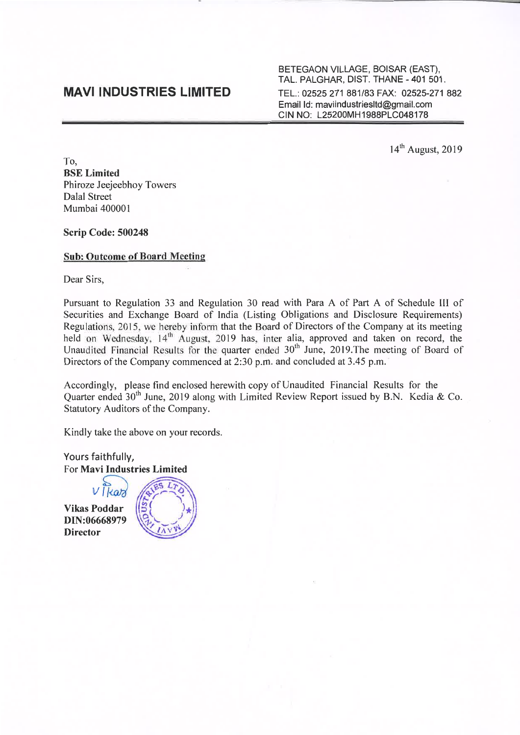## **MAVI INDUSTRIES LIMITED**

BETEGAON VILLAGE, BOISAR (EAST), TAL. PALGHAR, DIST. THANE - 401 501. TEL.: 02525 271 881/83 FAX: 02525-271 882 Email Id: maviindustriesltd@gmail.com CIN NO: L25200MH1988PLC048178

14<sup>th</sup> August, 2019

To, **BSE** Limited Phiroze Jeejeebhoy Towers Dalal Street Mumbai 40000 I

Scrip Code: 500248

### Sub: Outcome of Board Meeting

Dear Sirs,

Pursuant to Regulation 33 and Regulation 30 read with Para A of Part A of Schedule III of Securities and Exchange Board of India (Listing Obligations and Disclosure Requirements) Regulations, 2015, we hereby inform that the Board of Directors of the Company at its meeting held on Wednesday,  $14<sup>th</sup>$  August, 2019 has, inter alia, approved and taken on record, the Unaudited Financial Results for the quarter ended  $30<sup>th</sup>$  June, 2019. The meeting of Board of Directors of the Company commenced at 2:30 p.m. and concluded at 3.45 p.m.

Accordingly, please find enclosed herewith copy of Unaudited Financial Results for the Quarter ended  $30<sup>th</sup>$  June, 2019 along with Limited Review Report issued by B.N. Kedia & Co. Statutory Auditors of the Company.

Kindly take the above on your records.

Yours faithfully, For Mavi Industries Limited

Vikas Poddar DIN:06668979 **Director**  $\nu$   $\frac{d}{d}$ 

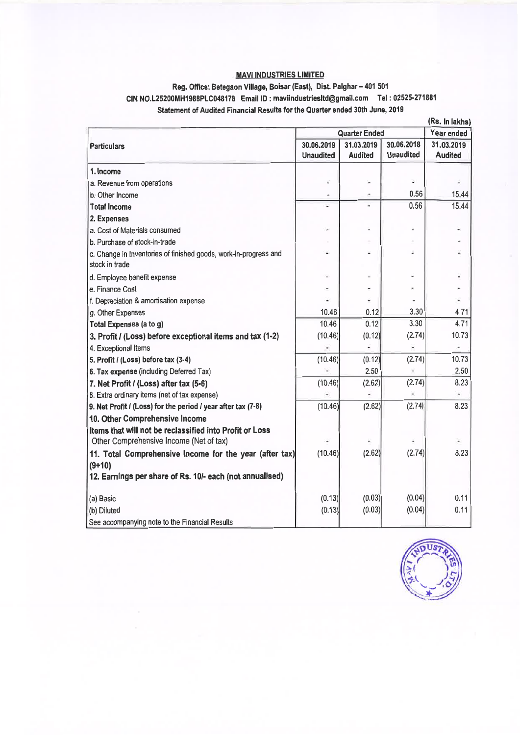## MAVI INDUSTRIES LIMITED

## Reg. Office: Betegaon Village, Boisar (East), Dist. Palghar - 401 501 CIN NO.L25200MH198BPLC048178 Email ID: maviindustriesltd@gmail.com Tel: 02525-271881 Statement of Audited Financial Results for the Quarter ended 30th June, 2019

|                                                                                                    |                                |                              |                                | (Rs. In lakhs)               |
|----------------------------------------------------------------------------------------------------|--------------------------------|------------------------------|--------------------------------|------------------------------|
| <b>Particulars</b>                                                                                 | <b>Quarter Ended</b>           |                              |                                | Year ended                   |
|                                                                                                    | 30.06.2019<br><b>Unaudited</b> | 31.03.2019<br><b>Audited</b> | 30.06.2018<br><b>Unaudited</b> | 31.03.2019<br><b>Audited</b> |
| 1. Income                                                                                          |                                |                              |                                |                              |
| a. Revenue from operations                                                                         |                                |                              | ä                              |                              |
| b. Other Income                                                                                    |                                |                              | 0.56                           | 15,44                        |
| <b>Total Income</b>                                                                                | c                              |                              | 0.56                           | 15.44                        |
| 2. Expenses                                                                                        |                                |                              |                                |                              |
| a. Cost of Materials consumed                                                                      |                                |                              |                                |                              |
| b. Purchase of stock-in-trade                                                                      |                                |                              |                                |                              |
| c. Change in Inventories of finished goods, work-in-progress and<br>stock in trade                 |                                |                              | ш                              |                              |
| d. Employee benefit expense                                                                        |                                |                              |                                |                              |
| e. Finance Cost                                                                                    |                                |                              |                                |                              |
| f. Depreciation & amortisation expense                                                             |                                |                              |                                |                              |
| g. Other Expenses                                                                                  | 10.46                          | 0.12                         | 3.30                           | 4.71                         |
| Total Expenses (a to g)                                                                            | 10.46                          | 0.12                         | 3.30                           | 4.71                         |
| 3. Profit / (Loss) before exceptional items and tax (1-2)                                          | (10.46)                        | (0.12)                       | (2.74)                         | 10.73                        |
| 4. Exceptional Items                                                                               |                                |                              |                                | ٠                            |
| 5. Profit / (Loss) before tax (3-4)                                                                | (10.46)                        | (0.12)                       | (2.74)                         | 10.73                        |
| 6. Tax expense (including Deferred Tax)                                                            |                                | 2.50                         |                                | 2.50                         |
| 7. Net Profit / (Loss) after tax (5-6)                                                             | (10.46)                        | (2.62)                       | (2.74)                         | 8.23                         |
| B. Extra ordinary items (net of tax expense)                                                       |                                | ä,                           |                                | $\ddot{\phantom{1}}$         |
| 9. Net Profit / (Loss) for the period / year after tax (7-8)                                       | (10.46)                        | (2.62)                       | (2.74)                         | 8.23                         |
| 10. Other Comprehensive Income                                                                     |                                |                              |                                |                              |
| Items that will not be reclassified into Profit or Loss<br>Other Comprehensive Income (Net of tax) |                                |                              |                                |                              |
| 11. Total Comprehensive Income for the year (after tax)                                            | (10.46)                        | (2.62)                       | (2.74)                         | 8.23                         |
| $(9+10)$                                                                                           |                                |                              |                                |                              |
| 12. Earnings per share of Rs. 10/- each (not annualised)                                           |                                |                              |                                |                              |
| (a) Basic                                                                                          | (0.13)                         | (0.03)                       | (0.04)                         | 0.11                         |
| (b) Diluted                                                                                        | (0.13)                         | (0.03)                       | (0.04)                         | 0.11                         |
| See accompanying note to the Financial Results                                                     |                                |                              |                                |                              |

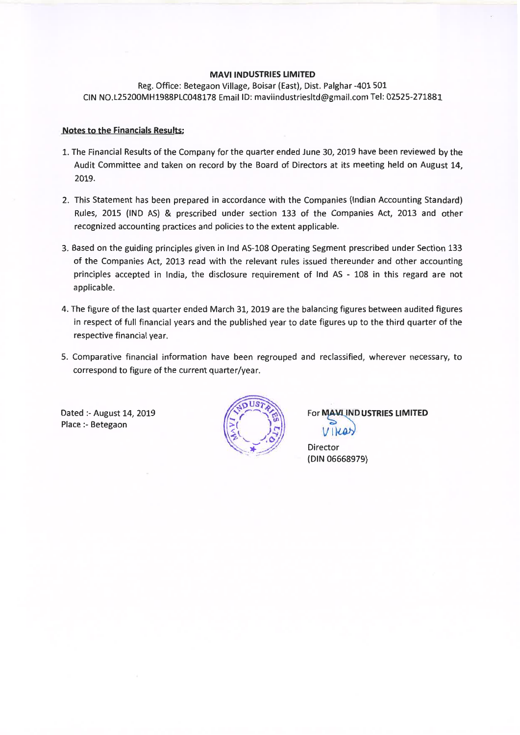#### **MAVI INDUSTRIES LIMITED**

Reg. Office: Betegaon Village, Boisar (East), Dist. Palghar -401 501 CIN NO.L25200MH1988PLC048178 Email ID: maviindustriesltd@gmail.com Tel: 02525-271881

### **Notes to the Financials Results:**

- 1. The Financial Results of the Company for the quarter ended June 30, 2019 have been reviewed by the Audit Committee and taken on record by the Board of Directors at its meeting held on August 14, 2019.
- 2. This Statement has been prepared in accordance with the Companies (Indian Accounting Standard) Rules, 2015 (IND AS) & prescribed under section 133 of the Companies Act, 2013 and other recognized accounting practices and policies to the extent applicable.
- 3. Based on the guiding principles given in Ind AS-108 Operating Segment prescribed under Section 133 of the Companies Act, 2013 read with the relevant rules issued thereunder and other accounting principles accepted in India, the disclosure requirement of Ind AS - 108 in this regard are not applicable.
- 4. The figure of the last quarter ended March 31, 2019 are the balancing figures between audited figures in respect of full financial years and the published year to date figures up to the third quarter of the respective financial year.
- 5. Comparative financial information have been regrouped and reclassified, wherever necessary, to correspond to figure of the current quarter/year.

Dated :- August 14, 2019 Place :- Betegaon



**For MAVILIND USTRIES LIMITED**  $V$ ikas

Director (DIN 06668979)